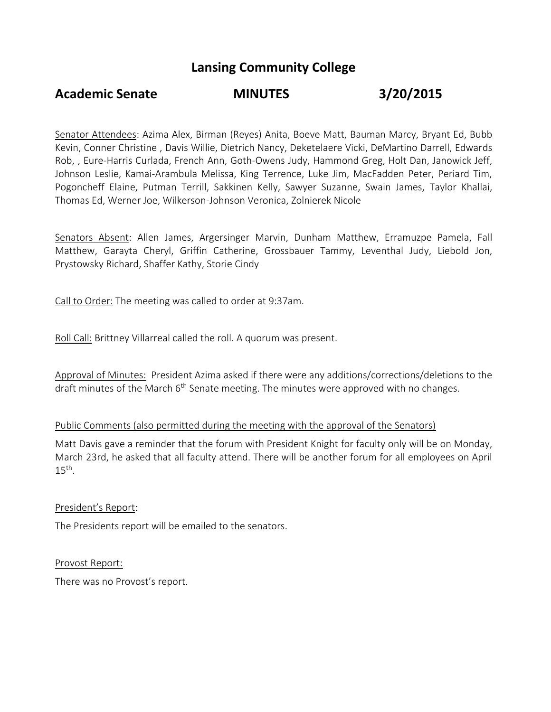## **Lansing Community College**

# **Academic Senate MINUTES 3/20/2015**

Senator Attendees: Azima Alex, Birman (Reyes) Anita, Boeve Matt, Bauman Marcy, Bryant Ed, Bubb Kevin, Conner Christine , Davis Willie, Dietrich Nancy, Deketelaere Vicki, DeMartino Darrell, Edwards Rob, , Eure-Harris Curlada, French Ann, Goth-Owens Judy, Hammond Greg, Holt Dan, Janowick Jeff, Johnson Leslie, Kamai-Arambula Melissa, King Terrence, Luke Jim, MacFadden Peter, Periard Tim, Pogoncheff Elaine, Putman Terrill, Sakkinen Kelly, Sawyer Suzanne, Swain James, Taylor Khallai, Thomas Ed, Werner Joe, Wilkerson-Johnson Veronica, Zolnierek Nicole

Senators Absent: Allen James, Argersinger Marvin, Dunham Matthew, Erramuzpe Pamela, Fall Matthew, Garayta Cheryl, Griffin Catherine, Grossbauer Tammy, Leventhal Judy, Liebold Jon, Prystowsky Richard, Shaffer Kathy, Storie Cindy

Call to Order: The meeting was called to order at 9:37am.

Roll Call: Brittney Villarreal called the roll. A quorum was present.

Approval of Minutes: President Azima asked if there were any additions/corrections/deletions to the draft minutes of the March  $6<sup>th</sup>$  Senate meeting. The minutes were approved with no changes.

### Public Comments (also permitted during the meeting with the approval of the Senators)

Matt Davis gave a reminder that the forum with President Knight for faculty only will be on Monday, March 23rd, he asked that all faculty attend. There will be another forum for all employees on April  $15<sup>th</sup>$ .

President's Report:

The Presidents report will be emailed to the senators.

Provost Report:

There was no Provost's report.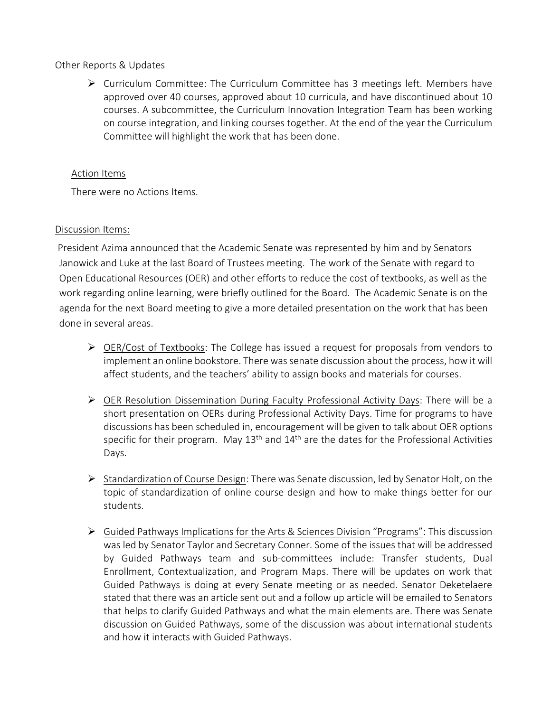#### Other Reports & Updates

 Curriculum Committee: The Curriculum Committee has 3 meetings left. Members have approved over 40 courses, approved about 10 curricula, and have discontinued about 10 courses. A subcommittee, the Curriculum Innovation Integration Team has been working on course integration, and linking courses together. At the end of the year the Curriculum Committee will highlight the work that has been done.

#### Action Items

There were no Actions Items.

#### Discussion Items:

 President Azima announced that the Academic Senate was represented by him and by Senators Janowick and Luke at the last Board of Trustees meeting. The work of the Senate with regard to Open Educational Resources (OER) and other efforts to reduce the cost of textbooks, as well as the work regarding online learning, were briefly outlined for the Board. The Academic Senate is on the agenda for the next Board meeting to give a more detailed presentation on the work that has been done in several areas.

- $\triangleright$  OER/Cost of Textbooks: The College has issued a request for proposals from vendors to implement an online bookstore. There was senate discussion about the process, how it will affect students, and the teachers' ability to assign books and materials for courses.
- OER Resolution Dissemination During Faculty Professional Activity Days: There will be a short presentation on OERs during Professional Activity Days. Time for programs to have discussions has been scheduled in, encouragement will be given to talk about OER options specific for their program. May  $13<sup>th</sup>$  and  $14<sup>th</sup>$  are the dates for the Professional Activities Days.
- $\triangleright$  Standardization of Course Design: There was Senate discussion, led by Senator Holt, on the topic of standardization of online course design and how to make things better for our students.
- $\triangleright$  Guided Pathways Implications for the Arts & Sciences Division "Programs": This discussion was led by Senator Taylor and Secretary Conner. Some of the issues that will be addressed by Guided Pathways team and sub-committees include: Transfer students, Dual Enrollment, Contextualization, and Program Maps. There will be updates on work that Guided Pathways is doing at every Senate meeting or as needed. Senator Deketelaere stated that there was an article sent out and a follow up article will be emailed to Senators that helps to clarify Guided Pathways and what the main elements are. There was Senate discussion on Guided Pathways, some of the discussion was about international students and how it interacts with Guided Pathways.